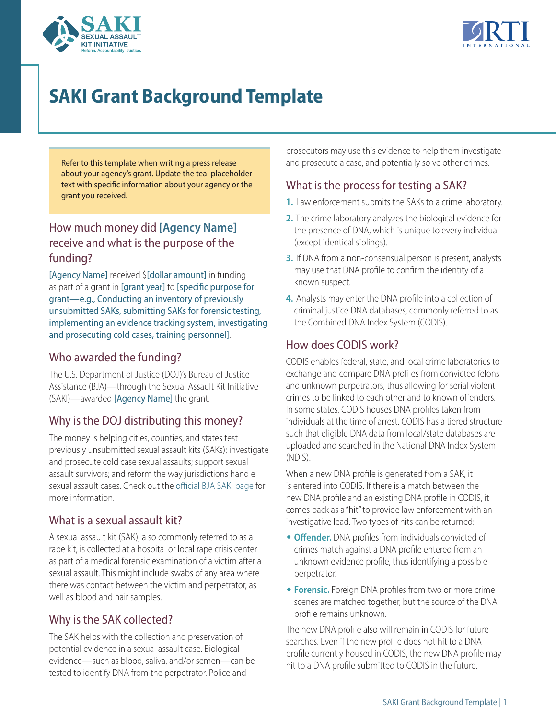



# **SAKI Grant Background Template**

Refer to this template when writing a press release about your agency's grant. Update the teal placeholder text with specific information about your agency or the grant you received.

# How much money did **[Agency Name]** receive and what is the purpose of the funding?

[Agency Name] received \$[dollar amount] in funding as part of a grant in [grant year] to [specific purpose for grant—e.g., Conducting an inventory of previously unsubmitted SAKs, submitting SAKs for forensic testing, implementing an evidence tracking system, investigating and prosecuting cold cases, training personnel].

#### Who awarded the funding?

The U.S. Department of Justice (DOJ)'s Bureau of Justice Assistance (BJA)—through the Sexual Assault Kit Initiative (SAKI)—awarded [Agency Name] the grant.

# Why is the DOJ distributing this money?

The money is helping cities, counties, and states test previously unsubmitted sexual assault kits (SAKs); investigate and prosecute cold case sexual assaults; support sexual assault survivors; and reform the way jurisdictions handle sexual assault cases. Check out the official BJA SAKI page for more information.

#### What is a sexual assault kit?

A sexual assault kit (SAK), also commonly referred to as a rape kit, is collected at a hospital or local rape crisis center as part of a medical forensic examination of a victim after a sexual assault. This might include swabs of any area where there was contact between the victim and perpetrator, as well as blood and hair samples.

# Why is the SAK collected?

The SAK helps with the collection and preservation of potential evidence in a sexual assault case. Biological evidence—such as blood, saliva, and/or semen—can be tested to identify DNA from the perpetrator. Police and

prosecutors may use this evidence to help them investigate and prosecute a case, and potentially solve other crimes.

#### What is the process for testing a SAK?

- **1.** Law enforcement submits the SAKs to a crime laboratory.
- **2.** The crime laboratory analyzes the biological evidence for the presence of DNA, which is unique to every individual (except identical siblings).
- **3.** If DNA from a non-consensual person is present, analysts may use that DNA profile to confirm the identity of a known suspect.
- **4.** Analysts may enter the DNA profile into a collection of criminal justice DNA databases, commonly referred to as the Combined DNA Index System (CODIS).

#### How does CODIS work?

CODIS enables federal, state, and local crime laboratories to exchange and compare DNA profiles from convicted felons and unknown perpetrators, thus allowing for serial violent crimes to be linked to each other and to known offenders. In some states, CODIS houses DNA profiles taken from individuals at the time of arrest. CODIS has a tiered structure such that eligible DNA data from local/state databases are uploaded and searched in the National DNA Index System (NDIS).

When a new DNA profile is generated from a SAK, it is entered into CODIS. If there is a match between the new DNA profile and an existing DNA profile in CODIS, it comes back as a "hit" to provide law enforcement with an investigative lead. Two types of hits can be returned:

- **Offender.** DNA profiles from individuals convicted of crimes match against a DNA profile entered from an unknown evidence profile, thus identifying a possible perpetrator.
- **\* Forensic.** Foreign DNA profiles from two or more crime scenes are matched together, but the source of the DNA profile remains unknown.

The new DNA profile also will remain in CODIS for future searches. Even if the new profile does not hit to a DNA profile currently housed in CODIS, the new DNA profile may hit to a DNA profile submitted to CODIS in the future.